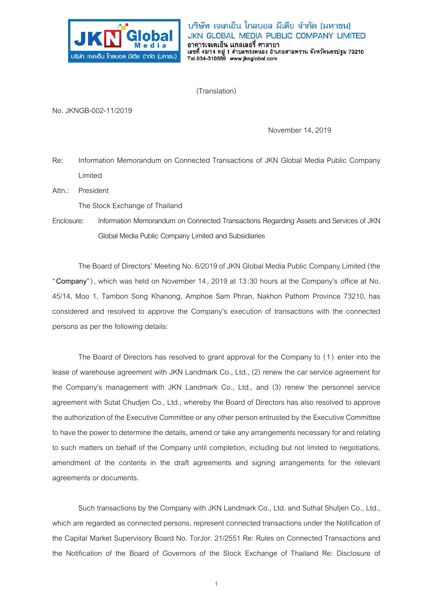

(Translation)

No. JKNGB-002-11/2019

November 14, 2019

Re: Information Memorandum on Connected Transactions of JKN Global Media Public Company Limited

Attn.: President

The Stock Exchange of Thailand

Enclosure: Information Memorandum on Connected Transactions Regarding Assets and Services of JKN Global Media Public Company Limited and Subsidiaries

The Board of Directors' Meeting No. 6/2019 of JKN Global Media Public Company Limited (the "**Company**"), which was held on November 14, 2019 at 13:30 hours at the Company's office at No. 45/14, Moo 1, Tambon Song Khanong, Amphoe Sam Phran, Nakhon Pathom Province 73210, has considered and resolved to approve the Company's execution of transactions with the connected persons as per the following details:

The Board of Directors has resolved to grant approval for the Company to (1) enter into the lease of warehouse agreement with JKN Landmark Co., Ltd., (2) renew the car service agreement for the Company's management with JKN Landmark Co., Ltd., and (3) renew the personnel service agreement with Sutat Chudjen Co., Ltd., whereby the Board of Directors has also resolved to approve the authorization of the Executive Committee or any other person entrusted by the Executive Committee to have the power to determine the details, amend or take any arrangements necessary for and relating to such matters on behalf of the Company until completion, including but not limited to negotiations, amendment of the contents in the draft agreements and signing arrangements for the relevant agreements or documents.

Such transactions by the Company with JKN Landmark Co., Ltd. and Suthat Shutjen Co., Ltd., which are regarded as connected persons, represent connected transactions under the Notification of the Capital Market Supervisory Board No. TorJor. 21/2551 Re: Rules on Connected Transactions and the Notification of the Board of Governors of the Stock Exchange of Thailand Re: Disclosure of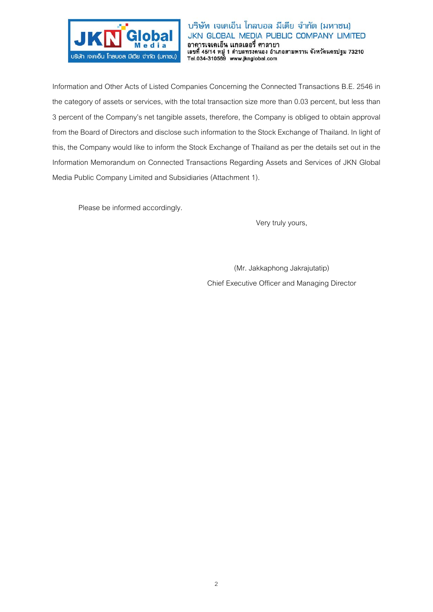

Information and Other Acts of Listed Companies Concerning the Connected Transactions B.E. 2546 in the category of assets or services, with the total transaction size more than 0.03 percent, but less than 3 percent of the Company's net tangible assets, therefore, the Company is obliged to obtain approval from the Board of Directors and disclose such information to the Stock Exchange of Thailand. In light of this, the Company would like to inform the Stock Exchange of Thailand as per the details set out in the Information Memorandum on Connected Transactions Regarding Assets and Services of JKN Global Media Public Company Limited and Subsidiaries (Attachment 1).

Please be informed accordingly.

Very truly yours,

(Mr. Jakkaphong Jakrajutatip) Chief Executive Officer and Managing Director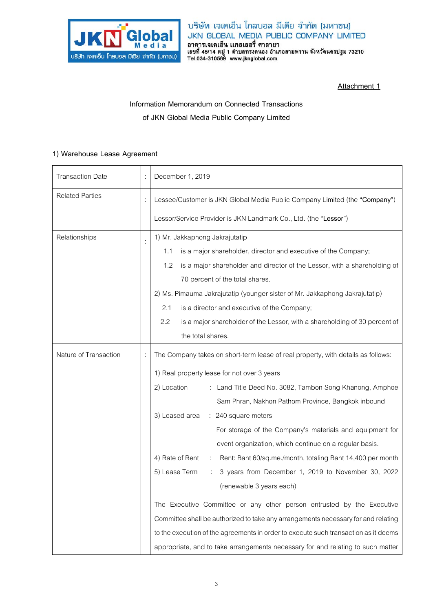

**Attachment 1**

**Information Memorandum on Connected Transactions of JKN Global Media Public Company Limited** 

### **1) Warehouse Lease Agreement**

| <b>Transaction Date</b> | December 1, 2019                                                                    |
|-------------------------|-------------------------------------------------------------------------------------|
| <b>Related Parties</b>  | Lessee/Customer is JKN Global Media Public Company Limited (the "Company")          |
|                         | Lessor/Service Provider is JKN Landmark Co., Ltd. (the "Lessor")                    |
| Relationships           | 1) Mr. Jakkaphong Jakrajutatip                                                      |
|                         | is a major shareholder, director and executive of the Company;<br>1.1               |
|                         | is a major shareholder and director of the Lessor, with a shareholding of<br>1.2    |
|                         | 70 percent of the total shares.                                                     |
|                         | 2) Ms. Pimauma Jakrajutatip (younger sister of Mr. Jakkaphong Jakrajutatip)         |
|                         | 2.1<br>is a director and executive of the Company;                                  |
|                         | 2.2<br>is a major shareholder of the Lessor, with a shareholding of 30 percent of   |
|                         | the total shares.                                                                   |
| Nature of Transaction   | The Company takes on short-term lease of real property, with details as follows:    |
|                         | 1) Real property lease for not over 3 years                                         |
|                         | 2) Location<br>: Land Title Deed No. 3082, Tambon Song Khanong, Amphoe              |
|                         | Sam Phran, Nakhon Pathom Province, Bangkok inbound                                  |
|                         | 3) Leased area : 240 square meters                                                  |
|                         | For storage of the Company's materials and equipment for                            |
|                         | event organization, which continue on a regular basis.                              |
|                         | 4) Rate of Rent<br>Rent: Baht 60/sq.me./month, totaling Baht 14,400 per month       |
|                         | 5) Lease Term<br>3 years from December 1, 2019 to November 30, 2022                 |
|                         | (renewable 3 years each)                                                            |
|                         | The Executive Committee or any other person entrusted by the Executive              |
|                         | Committee shall be authorized to take any arrangements necessary for and relating   |
|                         | to the execution of the agreements in order to execute such transaction as it deems |
|                         | appropriate, and to take arrangements necessary for and relating to such matter     |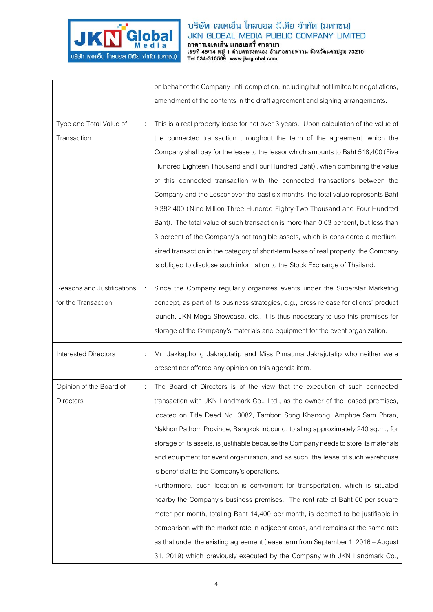

|                                                   | on behalf of the Company until completion, including but not limited to negotiations,<br>amendment of the contents in the draft agreement and signing arrangements.                                                                                                                                                                                                                                                                                                                                                                                                                                                                                                                                                                                                                                                                                                                                                                                                                                                                                       |
|---------------------------------------------------|-----------------------------------------------------------------------------------------------------------------------------------------------------------------------------------------------------------------------------------------------------------------------------------------------------------------------------------------------------------------------------------------------------------------------------------------------------------------------------------------------------------------------------------------------------------------------------------------------------------------------------------------------------------------------------------------------------------------------------------------------------------------------------------------------------------------------------------------------------------------------------------------------------------------------------------------------------------------------------------------------------------------------------------------------------------|
| Type and Total Value of<br>Transaction            | This is a real property lease for not over 3 years. Upon calculation of the value of<br>the connected transaction throughout the term of the agreement, which the<br>Company shall pay for the lease to the lessor which amounts to Baht 518,400 (Five<br>Hundred Eighteen Thousand and Four Hundred Baht), when combining the value<br>of this connected transaction with the connected transactions between the<br>Company and the Lessor over the past six months, the total value represents Baht<br>9,382,400 (Nine Million Three Hundred Eighty-Two Thousand and Four Hundred<br>Baht). The total value of such transaction is more than 0.03 percent, but less than<br>3 percent of the Company's net tangible assets, which is considered a medium-<br>sized transaction in the category of short-term lease of real property, the Company<br>is obliged to disclose such information to the Stock Exchange of Thailand.                                                                                                                          |
| Reasons and Justifications<br>for the Transaction | Since the Company regularly organizes events under the Superstar Marketing<br>concept, as part of its business strategies, e.g., press release for clients' product<br>launch, JKN Mega Showcase, etc., it is thus necessary to use this premises for<br>storage of the Company's materials and equipment for the event organization.                                                                                                                                                                                                                                                                                                                                                                                                                                                                                                                                                                                                                                                                                                                     |
| <b>Interested Directors</b>                       | Mr. Jakkaphong Jakrajutatip and Miss Pimauma Jakrajutatip who neither were<br>present nor offered any opinion on this agenda item.                                                                                                                                                                                                                                                                                                                                                                                                                                                                                                                                                                                                                                                                                                                                                                                                                                                                                                                        |
| Opinion of the Board of<br><b>Directors</b>       | The Board of Directors is of the view that the execution of such connected<br>transaction with JKN Landmark Co., Ltd., as the owner of the leased premises,<br>located on Title Deed No. 3082, Tambon Song Khanong, Amphoe Sam Phran,<br>Nakhon Pathom Province, Bangkok inbound, totaling approximately 240 sq.m., for<br>storage of its assets, is justifiable because the Company needs to store its materials<br>and equipment for event organization, and as such, the lease of such warehouse<br>is beneficial to the Company's operations.<br>Furthermore, such location is convenient for transportation, which is situated<br>nearby the Company's business premises. The rent rate of Baht 60 per square<br>meter per month, totaling Baht 14,400 per month, is deemed to be justifiable in<br>comparison with the market rate in adjacent areas, and remains at the same rate<br>as that under the existing agreement (lease term from September 1, 2016 – August<br>31, 2019) which previously executed by the Company with JKN Landmark Co., |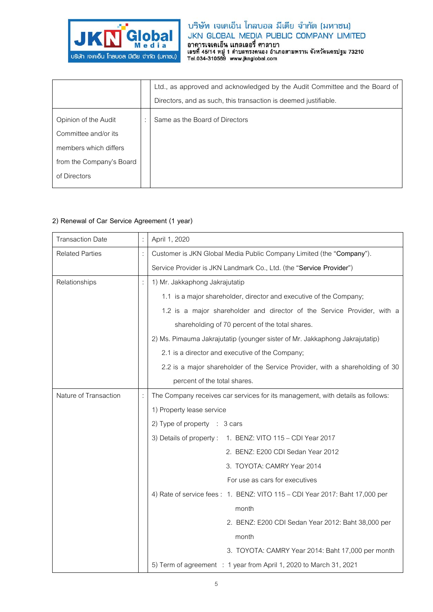

|                          | Ltd., as approved and acknowledged by the Audit Committee and the Board of |
|--------------------------|----------------------------------------------------------------------------|
|                          | Directors, and as such, this transaction is deemed justifiable.            |
| Opinion of the Audit     | Same as the Board of Directors                                             |
| Committee and/or its     |                                                                            |
| members which differs    |                                                                            |
| from the Company's Board |                                                                            |
| of Directors             |                                                                            |
|                          |                                                                            |

### **2) Renewal of Car Service Agreement (1 year)**

| <b>Transaction Date</b> | April 1, 2020                                                                  |
|-------------------------|--------------------------------------------------------------------------------|
| <b>Related Parties</b>  | Customer is JKN Global Media Public Company Limited (the "Company").           |
|                         | Service Provider is JKN Landmark Co., Ltd. (the "Service Provider")            |
| Relationships           | 1) Mr. Jakkaphong Jakrajutatip                                                 |
|                         | 1.1 is a major shareholder, director and executive of the Company;             |
|                         | 1.2 is a major shareholder and director of the Service Provider, with a        |
|                         | shareholding of 70 percent of the total shares.                                |
|                         | 2) Ms. Pimauma Jakrajutatip (younger sister of Mr. Jakkaphong Jakrajutatip)    |
|                         | 2.1 is a director and executive of the Company;                                |
|                         | 2.2 is a major shareholder of the Service Provider, with a shareholding of 30  |
|                         | percent of the total shares.                                                   |
| Nature of Transaction   | The Company receives car services for its management, with details as follows: |
|                         | 1) Property lease service                                                      |
|                         | 2) Type of property $\therefore$ 3 cars                                        |
|                         | 3) Details of property: 1. BENZ: VITO 115 - CDI Year 2017                      |
|                         | 2. BENZ: E200 CDI Sedan Year 2012                                              |
|                         | 3. TOYOTA: CAMRY Year 2014                                                     |
|                         | For use as cars for executives                                                 |
|                         | 4) Rate of service fees: 1. BENZ: VITO 115 - CDI Year 2017: Baht 17,000 per    |
|                         | month                                                                          |
|                         | 2. BENZ: E200 CDI Sedan Year 2012: Baht 38,000 per                             |
|                         | month                                                                          |
|                         | 3. TOYOTA: CAMRY Year 2014: Baht 17,000 per month                              |
|                         | 5) Term of agreement : 1 year from April 1, 2020 to March 31, 2021             |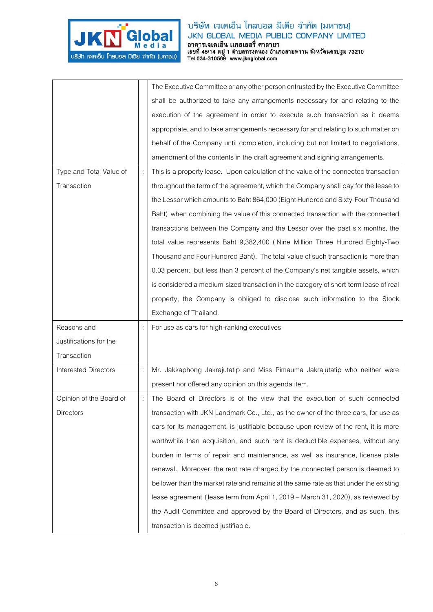

|                             |   | The Executive Committee or any other person entrusted by the Executive Committee      |
|-----------------------------|---|---------------------------------------------------------------------------------------|
|                             |   | shall be authorized to take any arrangements necessary for and relating to the        |
|                             |   | execution of the agreement in order to execute such transaction as it deems           |
|                             |   | appropriate, and to take arrangements necessary for and relating to such matter on    |
|                             |   | behalf of the Company until completion, including but not limited to negotiations,    |
|                             |   | amendment of the contents in the draft agreement and signing arrangements.            |
| Type and Total Value of     | ÷ | This is a property lease. Upon calculation of the value of the connected transaction  |
| Transaction                 |   | throughout the term of the agreement, which the Company shall pay for the lease to    |
|                             |   | the Lessor which amounts to Baht 864,000 (Eight Hundred and Sixty-Four Thousand       |
|                             |   | Baht) when combining the value of this connected transaction with the connected       |
|                             |   | transactions between the Company and the Lessor over the past six months, the         |
|                             |   | total value represents Baht 9,382,400 (Nine Million Three Hundred Eighty-Two          |
|                             |   | Thousand and Four Hundred Baht). The total value of such transaction is more than     |
|                             |   | 0.03 percent, but less than 3 percent of the Company's net tangible assets, which     |
|                             |   | is considered a medium-sized transaction in the category of short-term lease of real  |
|                             |   | property, the Company is obliged to disclose such information to the Stock            |
|                             |   | Exchange of Thailand.                                                                 |
|                             |   |                                                                                       |
| Reasons and                 |   | For use as cars for high-ranking executives                                           |
| Justifications for the      |   |                                                                                       |
| Transaction                 |   |                                                                                       |
| <b>Interested Directors</b> |   | Mr. Jakkaphong Jakrajutatip and Miss Pimauma Jakrajutatip who neither were            |
|                             |   | present nor offered any opinion on this agenda item.                                  |
| Opinion of the Board of     |   | The Board of Directors is of the view that the execution of such connected            |
| Directors                   |   | transaction with JKN Landmark Co., Ltd., as the owner of the three cars, for use as   |
|                             |   | cars for its management, is justifiable because upon review of the rent, it is more   |
|                             |   | worthwhile than acquisition, and such rent is deductible expenses, without any        |
|                             |   | burden in terms of repair and maintenance, as well as insurance, license plate        |
|                             |   | renewal. Moreover, the rent rate charged by the connected person is deemed to         |
|                             |   | be lower than the market rate and remains at the same rate as that under the existing |
|                             |   | lease agreement (lease term from April 1, 2019 – March 31, 2020), as reviewed by      |
|                             |   | the Audit Committee and approved by the Board of Directors, and as such, this         |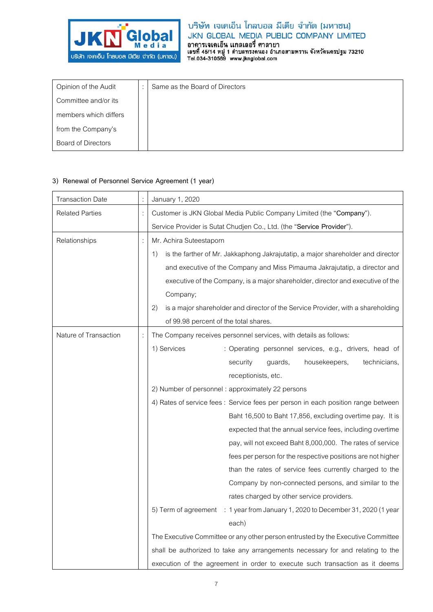

| Opinion of the Audit      | $\cdot$ | Same as the Board of Directors |
|---------------------------|---------|--------------------------------|
| Committee and/or its      |         |                                |
| members which differs     |         |                                |
| from the Company's        |         |                                |
| <b>Board of Directors</b> |         |                                |

### **3) Renewal of Personnel Service Agreement (1 year)**

| <b>Transaction Date</b> |                | January 1, 2020                                                                        |
|-------------------------|----------------|----------------------------------------------------------------------------------------|
| <b>Related Parties</b>  | $\ddot{\cdot}$ | Customer is JKN Global Media Public Company Limited (the "Company").                   |
|                         |                | Service Provider is Sutat Chudjen Co., Ltd. (the "Service Provider").                  |
| Relationships           |                | Mr. Achira Suteestaporn                                                                |
|                         |                | is the farther of Mr. Jakkaphong Jakrajutatip, a major shareholder and director<br>1)  |
|                         |                | and executive of the Company and Miss Pimauma Jakrajutatip, a director and             |
|                         |                | executive of the Company, is a major shareholder, director and executive of the        |
|                         |                | Company;                                                                               |
|                         |                | is a major shareholder and director of the Service Provider, with a shareholding<br>2) |
|                         |                | of 99.98 percent of the total shares.                                                  |
| Nature of Transaction   | $\ddot{\cdot}$ | The Company receives personnel services, with details as follows:                      |
|                         |                | 1) Services<br>: Operating personnel services, e.g., drivers, head of                  |
|                         |                | guards,<br>housekeepers,<br>technicians,<br>security                                   |
|                         |                | receptionists, etc.                                                                    |
|                         |                | 2) Number of personnel: approximately 22 persons                                       |
|                         |                | 4) Rates of service fees : Service fees per person in each position range between      |
|                         |                | Baht 16,500 to Baht 17,856, excluding overtime pay. It is                              |
|                         |                | expected that the annual service fees, including overtime                              |
|                         |                | pay, will not exceed Baht 8,000,000. The rates of service                              |
|                         |                | fees per person for the respective positions are not higher                            |
|                         |                | than the rates of service fees currently charged to the                                |
|                         |                | Company by non-connected persons, and similar to the                                   |
|                         |                | rates charged by other service providers.                                              |
|                         |                | 5) Term of agreement : 1 year from January 1, 2020 to December 31, 2020 (1 year        |
|                         |                | each)                                                                                  |
|                         |                | The Executive Committee or any other person entrusted by the Executive Committee       |
|                         |                | shall be authorized to take any arrangements necessary for and relating to the         |
|                         |                | execution of the agreement in order to execute such transaction as it deems            |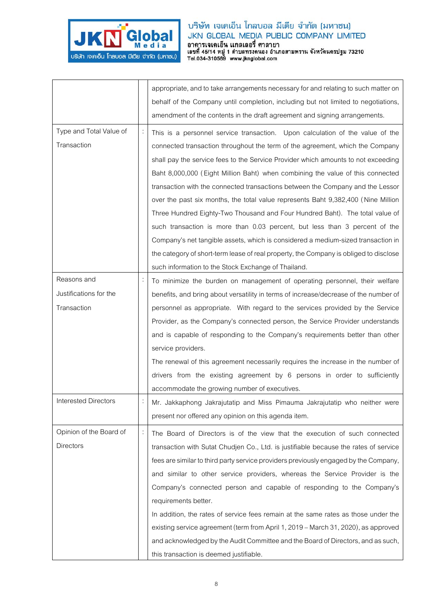

|                         |                | appropriate, and to take arrangements necessary for and relating to such matter on    |
|-------------------------|----------------|---------------------------------------------------------------------------------------|
|                         |                | behalf of the Company until completion, including but not limited to negotiations,    |
|                         |                | amendment of the contents in the draft agreement and signing arrangements.            |
|                         |                |                                                                                       |
| Type and Total Value of |                | This is a personnel service transaction. Upon calculation of the value of the         |
| Transaction             |                | connected transaction throughout the term of the agreement, which the Company         |
|                         |                | shall pay the service fees to the Service Provider which amounts to not exceeding     |
|                         |                | Baht 8,000,000 (Eight Million Baht) when combining the value of this connected        |
|                         |                | transaction with the connected transactions between the Company and the Lessor        |
|                         |                | over the past six months, the total value represents Baht 9,382,400 (Nine Million     |
|                         |                | Three Hundred Eighty-Two Thousand and Four Hundred Baht). The total value of          |
|                         |                | such transaction is more than 0.03 percent, but less than 3 percent of the            |
|                         |                | Company's net tangible assets, which is considered a medium-sized transaction in      |
|                         |                | the category of short-term lease of real property, the Company is obliged to disclose |
|                         |                | such information to the Stock Exchange of Thailand.                                   |
| Reasons and             |                | To minimize the burden on management of operating personnel, their welfare            |
| Justifications for the  |                | benefits, and bring about versatility in terms of increase/decrease of the number of  |
| Transaction             |                | personnel as appropriate. With regard to the services provided by the Service         |
|                         |                | Provider, as the Company's connected person, the Service Provider understands         |
|                         |                | and is capable of responding to the Company's requirements better than other          |
|                         |                | service providers.                                                                    |
|                         |                | The renewal of this agreement necessarily requires the increase in the number of      |
|                         |                | drivers from the existing agreement by 6 persons in order to sufficiently             |
|                         |                | accommodate the growing number of executives.                                         |
| Interested Directors    |                | Mr. Jakkaphong Jakrajutatip and Miss Pimauma Jakrajutatip who neither were            |
|                         |                | present nor offered any opinion on this agenda item.                                  |
|                         |                |                                                                                       |
| Opinion of the Board of | $\ddot{\cdot}$ | The Board of Directors is of the view that the execution of such connected            |
| <b>Directors</b>        |                | transaction with Sutat Chudjen Co., Ltd. is justifiable because the rates of service  |
|                         |                | fees are similar to third party service providers previously engaged by the Company,  |
|                         |                | and similar to other service providers, whereas the Service Provider is the           |
|                         |                | Company's connected person and capable of responding to the Company's                 |
|                         |                | requirements better.                                                                  |
|                         |                | In addition, the rates of service fees remain at the same rates as those under the    |
|                         |                | existing service agreement (term from April 1, 2019 – March 31, 2020), as approved    |
|                         |                | and acknowledged by the Audit Committee and the Board of Directors, and as such,      |
|                         |                | this transaction is deemed justifiable.                                               |